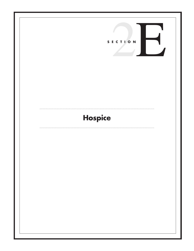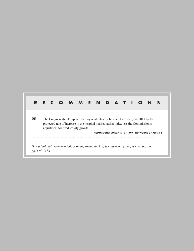# **R E C O M M E N D A T I O N S 2E** The Congress should update the payment rates for hospice for fiscal year 2011 by the projected rate of increase in the hospital market basket index less the Commission's adjustment for productivity growth. **COMMISSIONER VOTES: YES 16 • NO 0 • NOT VOTING 0 • ABSENT 1**  $\mathbf{1}$ *(For additional recommendations on improving the hospice payment system, see text box on pp. 146–147.)*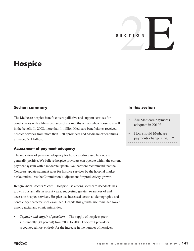# S E C T I O N

# **Hospice**

# **Section summary**

The Medicare hospice benefit covers palliative and support services for beneficiaries with a life expectancy of six months or less who choose to enroll in the benefit. In 2008, more than 1 million Medicare beneficiaries received hospice services from more than 3,300 providers and Medicare expenditures exceeded \$11 billion.

#### **Assessment of payment adequacy**

The indicators of payment adequacy for hospices, discussed below, are generally positive. We believe hospice providers can operate within the current payment system with a moderate update. We therefore recommend that the Congress update payment rates for hospice services by the hospital market basket index, less the Commission's adjustment for productivity growth.

*Beneficiaries' access to care*—Hospice use among Medicare decedents has grown substantially in recent years, suggesting greater awareness of and access to hospice services. Hospice use increased across all demographic and beneficiary characteristics examined. Despite this growth, use remained lower among racial and ethnic minorities.

*Capacity and supply of providers*—The supply of hospices grew substantially (47 percent) from 2000 to 2008. For-profit providers accounted almost entirely for the increase in the number of hospices.

## **In this section**

- Are Medicare payments adequate in 2010?
- How should Medicare payments change in 2011?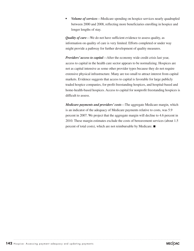*• Volume of services*—Medicare spending on hospice services nearly quadrupled between 2000 and 2008, reflecting more beneficiaries enrolling in hospice and longer lengths of stay.

*Quality of care*—We do not have sufficient evidence to assess quality, as information on quality of care is very limited. Efforts completed or under way might provide a pathway for further development of quality measures.

*Providers' access to capital*—After the economy wide credit crisis last year, access to capital in the health care sector appears to be normalizing. Hospices are not as capital intensive as some other provider types because they do not require extensive physical infrastructure. Many are too small to attract interest from capital markets. Evidence suggests that access to capital is favorable for large publicly traded hospice companies, for-profit freestanding hospices, and hospital-based and home-health-based hospices. Access to capital for nonprofit freestanding hospices is difficult to assess.

*Medicare payments and providers' costs*—The aggregate Medicare margin, which is an indicator of the adequacy of Medicare payments relative to costs, was 5.9 percent in 2007. We project that the aggregate margin will decline to 4.6 percent in 2010. These margin estimates exclude the costs of bereavement services (about 1.5 percent of total costs), which are not reimbursable by Medicare. ■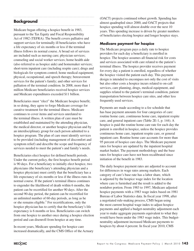# **Background**

Medicare began offering a hospice benefit in 1983, pursuant to the Tax Equity and Fiscal Responsibility Act of 1982 (TEFRA). The benefit covers palliative and support services for terminally ill beneficiaries who have a life expectancy of six months or less if the terminal illness follows its normal course. A broad set of services are included such as nursing care; physician services; counseling and social worker services; home health aide (also referred to as hospice aide) and homemaker services; short-term inpatient care (including respite care); drugs and biologicals for symptom control; home medical equipment; physical, occupational, and speech therapy; bereavement services for the patient's family; and other services for palliation of the terminal condition. In 2008, more than 1 million Medicare beneficiaries received hospice services and Medicare expenditures exceeded \$11 billion.

Beneficiaries must "elect" the Medicare hospice benefit; in so doing, they agree to forgo Medicare coverage for curative treatment for the terminal illness. Medicare continues to cover items and services unrelated to the terminal illness. A written plan of care must be established and maintained by the attending physician, the medical director, or another hospice physician and by an interdisciplinary group for each person admitted to a hospice program. The plan of care must identify services to be provided (including management of discomfort and symptom relief) and describe the scope and frequency of services needed to meet the patient's and family's needs.

Beneficiaries elect hospice for defined benefit periods. Under the current policy, the first hospice benefit period is 90 days. For a beneficiary to initially elect hospice, two physicians (the beneficiary's attending physician and a hospice physician) must certify that the beneficiary has a life expectancy of six months or less if the illness runs its normal course. If the patient's terminal illness continues to engender the likelihood of death within 6 months, the patient can be recertified for another 90 days. After the second 90-day period, the patient can be recertified for an unlimited number of 60-day periods, as long as he or she remains eligible.<sup>1</sup> For recertifications, only the hospice physician has to certify that the beneficiary's life expectancy is 6 months or less. Beneficiaries can switch from one hospice to another once during a hospice election period and can disenroll from hospice at any time.

In recent years, Medicare spending for hospice care increased dramatically, and the CMS Office of the Actuary

(OACT) projects continued robust growth. Spending has almost quadrupled since 2000, and OACT projects that hospice spending will almost double over the next 10 years. This spending increase is driven by greater numbers of beneficiaries electing hospice and longer hospice stays.

#### **Medicare payment for hospice**

The Medicare program pays a daily rate to hospice providers for each day a beneficiary is enrolled in hospice. The hospice assumes all financial risk for costs and services associated with care related to the patient's terminal illness. The hospice provider receives payment for every day a patient is enrolled, regardless of whether the hospice visited the patient each day. This payment design is intended to encompass not only the cost of visits but also other costs a hospice incurs related to on-call services, care planning, drugs, medical equipment, and supplies related to the patient's terminal condition, patient transportation between hospice care sites, and other less frequently used services.

Payments are made according to a fee schedule that has base payment amounts for four categories of care: routine home care, continuous home care, inpatient respite care, and general inpatient care (Table 2E-1, p. 144). A hospice is paid the routine home care rate for each day the patient is enrolled in hospice, unless the hospice provides continuous home care, inpatient respite care, or general inpatient care. Routine home care accounts for more than 95 percent of hospice care days. The Medicare payment rates for hospice are updated by the inpatient hospital market basket. The payment methodology and the base rates for hospice care have not been recalibrated since initiation of the benefit in 1983.

The daily hospice payment rates are adjusted to account for differences in wage rates among markets. Each category of care's base rate has a labor share, which is adjusted by the hospice wage index for the location where care is furnished and the result is added to the nonlabor portion. From 1983 to 1997, Medicare adjusted hospice payments with a 1983 wage index based on 1981 Bureau of Labor Statistics data. In fiscal year 1998, after a negotiated rule-making process, CMS began using the most current hospital wage index to adjust hospice payments and applied a budget-neutrality adjustment each year to make aggregate payments equivalent to what they would have been under the 1983 wage index. This budgetneutrality adjustment increased Medicare payments to hospices by about 4 percent. In fiscal year 2010, CMS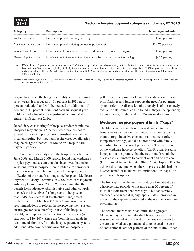

#### **2E –1 Medicare hospice payment categories and rates, FY 2010**

| <b>Category</b>        | <b>Description</b>                                                                                                                                                   | <b>Base payment rate</b> |
|------------------------|----------------------------------------------------------------------------------------------------------------------------------------------------------------------|--------------------------|
| Routine home care      | Home care provided on a typical day                                                                                                                                  | \$143 per day            |
| Continuous home care   | Home care provided during periods of patient crisis                                                                                                                  | $$34.75$ per hour        |
| Inpatient respite care | Inpatient care for a short period to provide respite for primary caregiver                                                                                           | \$148 per day            |
| General inpatient care | Inpatient care to treat symptoms that cannot be managed in another setting                                                                                           | \$636 per day            |
| Note:                  | FY (fiscal year). Payment for continuous home care (CHC) is an hourly rate for care delivered during periods of crisis if care is provided in the home for 8 or more |                          |

hours within a 24-hour period beginning at midnight. A nurse must deliver more than half of the hours of this care to qualify for CHC-level payment. The minimum daily payment rate at the CHC level is \$278 per day (8 hours at \$34.75 per hour); maximum daily payment at the CHC level is \$834 per day (24 hours at \$34.75 per hour).

Source: CMS Manual System Pub 100-04 Medicare Claims Processing, Transmittal 1796, "Update to the Hospice Payment Rates, Hospice Cap, Hospice Wage Index and the Hospice Pricer for FY 2010."

began phasing out the budget-neutrality adjustment over seven years. It is reduced by 10 percent in 2010 (a 0.4 percent reduction) and will be reduced an additional 15 percent (a 0.6 percent reduction) each subsequent year, until the budget-neutrality adjustment is eliminated entirely in fiscal year 2016.

Beneficiary cost sharing for hospice services is minimal. Hospices may charge a 5 percent coinsurance (not to exceed \$5) for each prescription furnished outside the inpatient setting. For inpatient respite care, beneficiaries may be charged 5 percent of Medicare's respite care payment per day.

The Commission's analyses of the hospice benefit in our June 2008 and March 2009 reports found that Medicare's hospice payment system contains incentives that make very long stays in hospice more profitable for providers than short stays, which may have led to inappropriate utilization of the benefit among some hospices (Medicare Payment Advisory Commission 2008, Medicare Payment Advisory Commission 2009). We also found that the benefit lacks adequate administrative and other controls to check the incentives for long stays in hospice and that CMS lacks data vital to effective management of the benefit. In March 2009, the Commission made recommendations to reform the hospice payment system, ensure greater accountability in use of the hospice benefit, and improve data collection and accuracy (see text box, p. 146–147). Since the Commission made its recommendation to reform the hospice payment system, additional data have become available on hospice visit

patterns across episodes of care. These data confirm our prior findings and further support the need for payment system reform. A discussion of our analysis of these newly available data sources can be found in the [online appendix](http://medpac.gov/chapters/Mar10_Ch02E_APPENDIX.pdf)  to this chapter, available at http://www.medpac.gov.

#### **Medicare hospice payment limits ("caps")**

The Medicare hospice benefit was designed to give beneficiaries a choice in their end-of-life care, allowing them to forgo intensive conventional treatment (often in inpatient settings) and die at home and with family according to their personal preferences. The inclusion of the Medicare hospice benefit in TEFRA was based in large part on the premise that the new benefit would be a less costly alternative to conventional end-of-life care (Government Accountability Office 2004, Hoyer 2007). To achieve this outcome, when the Congress established the hospice benefit it included two limitations, or "caps," on payments to hospices.

The first cap limits the number of days of inpatient care a hospice may provide to not more than 20 percent of its total Medicare patient care days. This cap is rarely exceeded, and when it is, any inpatient days provided in excess of the cap are reimbursed at the routine home care payment rate.

The second, more visible cap limits the aggregate Medicare payments an individual hospice can receive. It was implemented at the outset of the hospice benefit to ensure that Medicare payments did not exceed the cost of conventional care for patients at the end of life. Under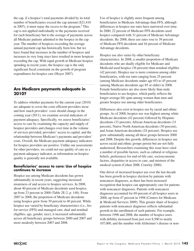the cap, if a hospice's total payments divided by its total number of beneficiaries exceed the cap amount (\$21,410 in 2007), it must repay the excess to the program. $2$  This cap is not applied individually to the payments received for each beneficiary but to the average of payments across all Medicare patients admitted to the hospice in the cap year. The number of hospices exceeding the average annual payment cap has historically been low, but we have found that increases in the number of hospices and increases in very long stays have resulted in more hospices exceeding the cap. With rapid growth in Medicare hospice spending in recent years, the hospice cap is the only significant fiscal constraint on the growth of program expenditures for hospice care (Hoyer 2007).

# **Are Medicare payments adequate in 2010?**

To address whether payments for the current year (2010) are adequate to cover the costs efficient providers incur and how much providers' costs should change in the coming year (2011), we examine several indicators of payment adequacy. Specifically, we assess beneficiaries' access to care by examining the capacity and supply of hospice providers and changes over time in the volume of services provided, providers' access to capital, and the relationship between Medicare's payments and providers' costs. Overall, the Medicare payment adequacy indicators for hospice providers are positive. Unlike our assessments for other providers, we could not use quality of care as a payment adequacy indicator, as information on hospice quality is generally not available.

#### **Beneficiaries' access to care: Use of hospice continues to increase**

Hospice use among Medicare decedents has grown substantially in recent years, suggesting increased awareness of and access to hospice services. In 2008, about 40 percent of Medicare decedents used hospice, up from 23 percent in 2000 (Table 2E-2, p. 148). From 2007 to 2008, the proportion of Medicare decedents using hospice grew from 39 percent to 40 percent. While hospice use varied by beneficiary characteristics (i.e., feefor-service (FFS) and managed care, dual and nondual eligibles, age, gender, race), it increased substantially across all beneficiary groups between 2000 and 2007 and more modestly between 2007 and 2008.

Use of hospice is slightly more frequent among beneficiaries in Medicare Advantage than FFS, although differences in hospice use rates have narrowed over time. In 2000, 22 percent of Medicare FFS decedents used hospice compared with 31 percent of Medicare Advantage decedents. By 2008, these use rates rose to 39 percent of Medicare FFS decedents and 44 percent of Medicare Advantage decedents.

Hospice use also varies by other beneficiary characteristics. In 2008, a smaller proportion of Medicare decedents who are dually eligible for Medicare and Medicaid used hospice (36 percent) than nondual eligibles (42 percent). Hospice use is more common among older beneficiaries, with use rates ranging from 25 percent (among Medicare decedents under age 65) to 45 percent (among Medicare decedents age 85 or older) in 2008. Female beneficiaries are also more likely than male beneficiaries to use hospice, which partly reflects the longer average life span among women than men and greater hospice use among older beneficiaries.

Differences also exist in hospice use by racial and ethnic groups. As of 2008, hospice use was highest among white Medicare decedents (42 percent) followed by Hispanic decedents (33 percent), African American decedents (31 percent), Native North American decedents (30 percent), and Asian American decedents (24 percent). Hospice use grew substantially among all these groups between 2000 and 2008. Despite this growth, differences in hospice use across racial and ethnic groups persist but are not fully understood. Researchers examining this issue have cited a number of possible factors, such as cultural or religious beliefs, preferences for end-of-life care, socioeconomic factors, disparities in access to care, and mistrust of the medical system (Cohen 2008, Crawley 2000).

One driver of increased hospice use over the last decade has been growth in hospice election by patients with noncancer diagnoses, as there has been increased recognition that hospice can appropriately care for patients with noncancer diagnoses. Patients with noncancer diagnoses accounted for 69 percent of all hospice users in 2008, up from 47 percent in 1998 (Centers for Medicare & Medicaid Services 2009). This greater share of hospice patients with noncancer diagnoses reflects substantial growth in the enrollment of such patients. For example, between 1998 and 2008, the number of hospice users with debility increased from just over 8,500 to nearly 107,000, and the number with Alzheimer's disease or non-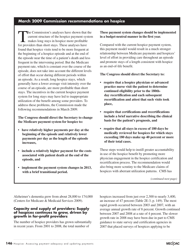## **March 2009 Commission recommendations on hospice**

The Commission's analyses have shown that the<br>current structure of the hospice payment system<br>makes long stays in hospice more profitable<br>for providers than short stays. These enalyses have current structure of the hospice payment system makes long stays in hospice more profitable for providers than short stays. These analyses have found that hospice visits tend to be more frequent at the beginning of a hospice episode and at the end of the episode near the time of a patient's death and less frequent in the intervening period. But the Medicare payment rate, which is constant over the course of the episode, does not take into account the different levels of effort that occur during different periods within an episode. As a result, long hospice stays, which generally have a lower average visit intensity over the course of an episode, are more profitable than short stays. The incentives in the current hospice payment system for long stays may have led to inappropriate utilization of the benefit among some providers. To address these problems, the Commission made the following recommendations in March 2009.

**The Congress should direct the Secretary to change the Medicare payment system for hospice to:**

- **• have relatively higher payments per day at the beginning of the episode and relatively lower payments per day as the length of the episode increases,**
- **• include a relatively higher payment for the costs associated with patient death at the end of the episode, and**
- **• implement the payment system changes in 2013, with a brief transitional period.**

**These payment system changes should be implemented in a budget-neutral manner in the first year.**

Compared with the current hospice payment system, this payment model would result in a much stronger relationship between Medicare payments and hospices' level of effort in providing care throughout an episode and promote stays of a length consistent with hospice as an end-of-life benefit.

**The Congress should direct the Secretary to:**

- **• require that a hospice physician or advanced practice nurse visit the patient to determine continued eligibility prior to the 180thday recertification and each subsequent recertification and attest that such visits took place,**
- **• require that certifications and recertifications include a brief narrative describing the clinical basis for the patient's prognosis, and**
- **• require that all stays in excess of 180 days be medically reviewed for hospices for which stays exceeding 180 days make up 40 percent or more of their total cases.**

These steps would help to instill greater accountability in use of the hospice benefit by promoting more physician engagement in the hospice certification and recertification process. The recommendation would also bring more scrutiny to the Medicare claims of hospices with aberrant utilization patterns. CMS has

Alzheimer's dementia grew from about 28,000 to 174,000 (Centers for Medicare & Medicaid Services 2009).

#### **Capacity and supply of providers: Supply of hospices continues to grow, driven by growth in for-profit providers**

The number of hospice providers has grown substantially in recent years. From 2001 to 2008, the total number of

hospices increased from just over 2,300 to nearly 3,400, an increase of 47 percent (Table 2E-3, p. 149). The most rapid growth occurred between 2003 and 2007, with an average annual growth rate of 8 percent. Growth continued between 2007 and 2008 at a rate of 4 percent. The slower growth rate in 2008 may have been due in part to CMS guidance to state survey and certification agencies in 2007 that placed surveys of hospices applying to be

*<sup>(</sup>continued next page)*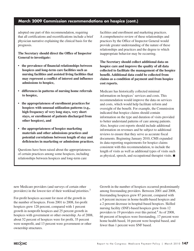# **March 2009 Commission recommendations on hospice (cont.)**

adopted one part of this recommendation, requiring that all certifications and recertifications include a brief physician narrative explaining the clinical basis for the prognosis.

**The Secretary should direct the Office of Inspector General to investigate:**

- **• the prevalence of financial relationships between hospices and long-term care facilities such as nursing facilities and assisted living facilities that may represent a conflict of interest and influence admissions to hospice,**
- **• differences in patterns of nursing home referrals to hospice,**
- **• the appropriateness of enrollment practices for hospices with unusual utilization patterns (e.g., high frequency of very long stays, very short stays, or enrollment of patients discharged from other hospices), and**
- **• the appropriateness of hospice marketing materials and other admissions practices and potential correlations between length of stay and deficiencies in marketing or admissions practices.**

Questions have been raised about the appropriateness of certain practices among some hospices, including relationships between hospices and long-term care

facilities and enrollment and marketing practices. A comprehensive review of these relationships and practices by the Office of Inspector General would provide greater understanding of the nature of these relationships and practices and the degree to which inappropriate behavior may be occurring.

**The Secretary should collect additional data on hospice care and improve the quality of all data collected to facilitate the management of the hospice benefit. Additional data could be collected from claims as a condition of payment and from hospice cost reports.**

Medicare has historically collected minimal information on hospices' services and costs. This recommendation would improve the data on services and costs, which would help facilitate reform and oversight of the benefit. For example, the Commission indicated that hospice claims should contain information on the type and duration of visits provided to better understand patterns of care among patients. Also, hospice cost reports should include additional information on revenues and be subject to additional reviews to ensure that they serve as accurate fiscal documents. Beginning January 2010, CMS expanded its data-reporting requirements for hospice claims consistent with this recommendation, to include the length of visits as well as additional types of visits such as physical, speech, and occupational therapist visits. ■

new Medicare providers (and surveys of certain other providers) in the lowest tier of their workload priorities.<sup>3</sup>

For-profit hospices account for most of the growth in the number of hospices. From 2001 to 2008, for-profit hospices grew 128 percent, compared with 1 percent growth in nonprofit hospices and 25 percent growth in hospices with government or other ownership. As of 2008, about 52 percent of hospices were for profit, 35 percent were nonprofit, and 13 percent were government or other ownership structures.

Growth in the number of hospices occurred predominantly among freestanding providers. Between 2001 and 2008, freestanding hospices grew 87 percent, compared with a 9 percent increase in home-health-based hospices and a 2 percent decrease in hospital-based hospices. Skilled nursing facility (SNF)-based hospices grew from 12 providers to 19 providers over this period.<sup>4</sup> As of 2008, 66 percent of hospices were freestanding, 17 percent were home health based, 16 percent were hospital based, and fewer than 1 percent were SNF based.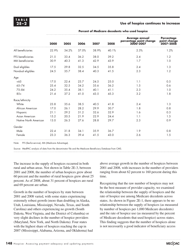#### **2E –2 Use of hospice continues to increase**

|                       | 2000  | 2005  | 2006  | 2007  | 2008  | Average annual<br>percentage point change<br>2000-2007 | <b>Percentage</b><br>point change<br>2007-2008 |
|-----------------------|-------|-------|-------|-------|-------|--------------------------------------------------------|------------------------------------------------|
| All beneficiaries     | 22.9% | 34.2% | 37.0% | 38.9% | 40.1% | 2.3%                                                   | 1.2%                                           |
| FFS beneficiaries     | 21.5  | 33.4  | 36.2  | 38.0  | 39.2  | 2.4                                                    | 1.2                                            |
| MA beneficiaries      | 30.9  | 40.3  | 41.3  | 42.9  | 43.9  | 1.7                                                    | 1.0                                            |
| Dual eligibles        | 17.5  | 29.8  | 32.5  | 34.5  | 35.8  | 2.4                                                    | 1.3                                            |
| Nondual eligibles     | 24.5  | 35.7  | 38.4  | 40.3  | 41.5  | 2.3                                                    | 1.2                                            |
| Age                   |       |       |       |       |       |                                                        |                                                |
| <65                   | 17.0  | 22.4  | 23.7  | 24.5  | 25.0  | 1.1                                                    | 0.5                                            |
| $65 - 74$             | 25.4  | 32.5  | 34.2  | 35.6  | 36.2  | 1.5                                                    | 0.6                                            |
| $75 - 84$             | 24.2  | 35.4  | 38.1  | 40.1  | 41.1  | 2.3                                                    | 1.0                                            |
| $85+$                 | 21.4  | 37.2  | 41.0  | 43.5  | 45.3  | 3.2                                                    | 1.8                                            |
| Race/ethnicity        |       |       |       |       |       |                                                        |                                                |
| White                 | 23.8  | 35.6  | 38.5  | 40.5  | 41.8  | 2.4                                                    | 1.3                                            |
| African American      | 17.0  | 26.1  | 28.2  | 29.9  | 30.7  | 1.8                                                    | 0.8                                            |
| Hispanic              | 21.1  | 29.2  | 31.2  | 32.6  | 32.9  | 1.6                                                    | 0.3                                            |
| Asian American        | 15.2  | 20.5  | 21.9  | 22.9  | 24.4  | 1.1                                                    | 1.5                                            |
| Native North American | 13.0  | 26.3  | 27.6  | 28.8  | 29.7  | 2.3                                                    | 0.9                                            |
| Gender                |       |       |       |       |       |                                                        |                                                |
| Male                  | 22.4  | 31.8  | 34.1  | 35.9  | 36.7  | 1.9                                                    | 0.8                                            |
| Female                | 23.3  | 36.3  | 39.4  | 41.5  | 43.0  | 2.6                                                    | 1.5                                            |
|                       |       |       |       |       |       |                                                        |                                                |

**Percent of Medicare decedents who used hospice**

Note: FFS (fee-for-service), MA (Medicare Advantage).

Source: MedPAC analysis of data from the denominator file and the Medicare Beneficiary Database from CMS.

The increase in the supply of hospices occurred in both rural and urban areas. Not shown in Table 2E-3, between 2001 and 2008, the number of urban hospices grew about 60 percent and the number of rural hospices grew about 25 percent. As of 2008, about 31 percent of hospices are rural and 69 percent are urban.

Growth in the number of hospices by state between 2001 and 2008 varied, with some states experiencing extremely robust growth (more than doubling in Alaska, Utah, Louisiana, Mississippi, Nevada, Texas, and South Carolina) and others experiencing no growth (South Dakota, West Virginia, and the District of Columbia) or very slight declines in the number of hospice providers (Maryland, New York, and North Dakota). Four states with the highest share of hospices reaching the cap in 2007 (Mississippi, Alabama, Arizona, and Oklahoma) had

above average growth in the number of hospices between 2001 and 2008, with increases in the number of providers ranging from about 62 percent to 160 percent during this time.

Recognizing that the raw number of hospices may not be the best measure of provider capacity, we examined the relationship between the supply of hospices and the rate of hospice use among Medicare decedents across states. As shown in Figure 2E-1, there appears to be no relationship between the supply of hospices (as measured by number of hospices per 1,000 Medicare decedents) and the rate of hospice use (as measured by the percent of Medicare decedents that used hospice) across states. This finding suggests that the number of hospices alone is not necessarily a good indicator of beneficiary access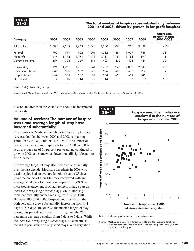#### **2E –3 The total number of hospices rose substantially between 2001 and 2008, driven by growth in for-profit hospices**

| <b>Category</b>   | 2001  | 2002  | 2003  | 2004   | 2005  | 2006  | 2007  | 2008  | <b>Aggregate</b><br>percent change,<br>2001-2008 |
|-------------------|-------|-------|-------|--------|-------|-------|-------|-------|--------------------------------------------------|
| All hospices      | 2.303 | 2,349 | 2,464 | 2,643  | 2.870 | 3.073 | 3.258 | 3.389 | 47%                                              |
| For profit        | 765   | 819   | 922   | 1,091  | 1,282 | 1.464 | ,637  | 1.748 | 128                                              |
| Nonprofit         | 1.184 | .172  | 1.173 | 1.171  | 1.181 | 1.184 | l.188 | 1.197 |                                                  |
| Government/other  | 354   | 358   | 369   | 381    | 407   | 425   | 433   | 444   | 25                                               |
| Freestanding      | 1.196 | ,251  | 1.361 | 541. ا | 1.737 | 1.922 | 2,098 | 2,233 | 87                                               |
| Home health based | 541   | 530   | 532   | 538    | 566   | 583   | 592   | 592   | 9                                                |
| Hospital based    | 554   | 553   | 557   | 551    | 553   | 553   | 551   | 545   | $-2$                                             |
| SNF based         | 12    | 15    | 14    | 13     | 14    | 15    | 17    | 19    | 58                                               |

Note: SNF (skilled nursing facility).

Source: MedPAC analysis of data from CMS Providing Data Quickly system, https://pdq.cms.hhs.gov, accessed November 20, 2009.

to care, and trends in these statistics should be interpreted cautiously.

#### **Volume of services: The number of hospice users and average length of stay have increased substantially**

The number of Medicare beneficiaries receiving hospice services doubled between 2000 and 2008, surpassing 1 million by 2008 (Table 2E-4, p. 150). The number of hospice users increased rapidly between 2000 and 2007, at an average rate of 10 percent per year, and continued to grow in 2008 at a somewhat slower but still significant rate of 5.5 percent.

The average length of stay also increased substantially over the last decade. Medicare decedents in 2008 who used hospice had an average length of stay of 83 days (over the course of their lifetime), compared with an average of 54 days for their counterparts in 2000. The increased average length of stay reflects in large part an increase in very long hospice stays, while short stays remained virtually unchanged (Figure 2E-2, p. 150). Between 2000 and 2008, hospice length of stay at the 90th percentile grew substantially, increasing from 141 days to 235 days. In contrast, the median length of stay during this period held steady at 17 days and the 25th percentile decreased slightly from 6 days to 5 days. While the increase in very long hospice stays is a concern, so too is the persistence of very short stays. With very short



**Hospice Medicare margins**

Note: Each data point in the chart represents one state.

Source: MedPAC analysis of the denominator file and the Medicare Beneficiary Database from CMS, and data from CMS Providing Data Quickly system, http://pdq.cms.hhs.gov.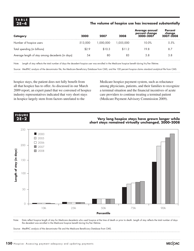#### **2E –4 The volume of hospice use has increased substantially**

| <b>Category</b>                                  | 2000    | 2007      | 2008      | <b>Average annual</b><br>percent change<br>2000–2007 | <b>Percent</b><br>change<br>2007-2008 |
|--------------------------------------------------|---------|-----------|-----------|------------------------------------------------------|---------------------------------------|
| Number of hospice users                          | 513,000 | 1.000.000 | 1.055.000 | 10.0%                                                | 5.5%                                  |
| Total spending (in billions)                     | \$2.9   | \$10.3    | \$11.2    | 19.8                                                 | 8.7                                   |
| Average length of stay among decedents (in days) | 54      | 80        | 83        | 5.8                                                  | 3.8                                   |

Note: Length of stay reflects the total number of days the decedent hospice user was enrolled in the Medicare hospice benefit during his/her lifetime.

Source: MedPAC analysis of the denominator file, the Medicare Beneficiary Database from CMS, and the 100 percent hospice claims standard analytical file from CMS.

hospice stays, the patient does not fully benefit from all that hospice has to offer. As discussed in our March 2009 report, an expert panel that we convened of hospice industry representatives indicated that very short stays in hospice largely stem from factors unrelated to the

Medicare hospice payment system, such as reluctance among physicians, patients, and their families to recognize a terminal situation and the financial incentives of acute care providers to continue treating a terminal patient (Medicare Payment Advisory Commission 2009).



Note: Data reflect hospice length of stay for Medicare decedents who used hospice at the time of death or prior to death. Length of stay reflects the total number of days the decedent was enrolled in the Medicare hospice benefit during his/her lifetime.

Source: MedPAC analysis of the denominator file and the Medicare Beneficiary Database from CMS.

Note: Note and Source are in InDesign.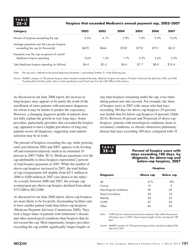#### **2E –5 Hospices that exceeded Medicare's annual payment cap, 2002–2007**

| Category                                                                      | 2002  | 2003  | 2004  | 2005  | 2006  | 2007   |
|-------------------------------------------------------------------------------|-------|-------|-------|-------|-------|--------|
| Percent of hospices exceeding the cap                                         | 2.6%  | 4.1%  | 5.8%  | 7.8%  | 9.4%  | 10.4%  |
| Average payments over the cap per hospice<br>exceeding the cap (in thousands) | \$470 | \$664 | \$749 | \$755 | \$731 | \$612  |
| Payments over the cap as percent of overall<br>Medicare hospice spending      | 0.6%  | 1.2%  | 1.7%  | 2.2%  | 2.4%  | 2.0%   |
| Total Medicare hospice spending (in billions)                                 | \$4.4 | \$5.4 | \$6.6 | \$7.7 | \$8.8 | \$10.4 |

Note: The cap year is defined as the period beginning November 1 and ending October 31 of the following year.

Source: MedPAC analysis of 100 percent hospice claims standard analytical file data, Medicare hospice cost reports, Provider of Services file data from CMS, and CMS Providing Data Quickly system. Data on total spending for each fiscal year from the CMS Office of the Actuary.

As discussed in our June 2008 report, the increase in long hospice stays appears to be partly the result of the enrollment of more patients with noncancer diagnoses, for whom it may be harder to predict life expectancy. However, a changing diagnosis profile of patients does not fully explain the growth in very long stays. Some providers, particularly providers that exceeded the hospice cap, appeared to have a higher prevalence of long-stay patients across all diagnoses, suggesting some patient selection may be at work.

The percent of hospices exceeding the cap, while growing each year between 2002 and 2007, appears to be leveling off and remained relatively small at an estimated 10 percent in 2007 (Table 2E-5). Medicare payments over the cap attributable to these hospices represented 2 percent of total hospice payments in 2007. While the number of above-cap hospices increased in 2007, the total dollars of cap overpayments fell slightly from \$211 million in 2006 to \$208 million in 2007 (not shown in the table). As a result, between 2006 and 2007, the average cap overpayment per above-cap hospice declined from about \$731,000 to \$612,000.

As discussed in our June 2008 report, above-cap hospices are more likely to be for-profit, freestanding facilities and to have smaller patient loads than below-cap hospices (Medicare Payment Advisory Commission 2008). They treat a larger share of patients with Alzheimer's disease and other neurological conditions than hospices that do not exceed the cap. Most importantly, hospice providers exceeding the cap exhibit significantly longer lengths of

stay than hospices remaining under the cap, even when taking patient mix into account. For example, the share of hospice users in 2007 with cancer who had stays exceeding 180 days for above-cap hospices (19 percent) was double that for below-cap hospices (9 percent) (Table 2E-6). Between 44 percent and 50 percent of above-cap hospices' patients with neurological conditions, heart or circulatory conditions, or chronic obstructive pulmonary disease had stays exceeding 180 days, compared with 18



**2E –6 Percent of hospice users with stays exceeding 180 days, by diagnosis, for above-cap and below-cap hospices, 2007**

|                         | <b>Hospices</b> |                  |  |  |  |  |
|-------------------------|-----------------|------------------|--|--|--|--|
| <b>Diagnosis</b>        | Above cap       | <b>Below cap</b> |  |  |  |  |
| All                     | 41%             | 18%              |  |  |  |  |
| Cancer                  | 19              |                  |  |  |  |  |
| Neurological conditions |                 |                  |  |  |  |  |
| Heart/circulatory       |                 | 18               |  |  |  |  |
| Debility                | 38              | 22               |  |  |  |  |
| COPD                    |                 | 24               |  |  |  |  |
| )ther                   |                 |                  |  |  |  |  |

Note: COPD (chronic obstructive pulmonary disease). Data reflect the percent of hospice users in 2007 whose hospice length of stay was beyond 180 days.

Source: MedPAC analysis of 100 percent hospice claims standard analytical file data from CMS.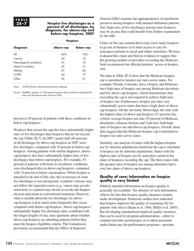#### **2E –7 Hospice live discharges as a percent of all discharges, by diagnosis, for above-cap and below-cap hospices, 2007**

|                         | <b>Hospices</b> |                  |  |  |  |
|-------------------------|-----------------|------------------|--|--|--|
| <b>Diagnosis</b>        | Above cap       | <b>Below cap</b> |  |  |  |
| All                     | 46%             | 16%              |  |  |  |
| Cancer                  | 24              | 10               |  |  |  |
| Neurological conditions | 41              | 18               |  |  |  |
| Heart/circulatory       | 55              | 1.5              |  |  |  |
| Debility                |                 | 20               |  |  |  |
| COPD                    | .54             | 19               |  |  |  |
| )ther                   |                 | 21               |  |  |  |

Note: COPD (chronic obstructive pulmonary disease).

Source: MedPAC analysis of 100 percent hospice claims standard analytical file data and the denominator file from CMS.

percent to 29 percent of patients with these conditions in below-cap hospices.

Hospices that exceed the cap also have substantially higher rates of live discharges than hospices that do not exceed the cap (Table 2E-7). In 2007, nearly half (46 percent) of all discharges by above-cap hospices in 2007 were live discharges, compared with 16 percent in below-cap hospices. Among patients with similar diagnoses, abovecap hospices also have substantially higher rates of live discharges than below-cap hospices. For example, 55 percent of patients with heart or circulatory conditions were discharged alive in above-cap hospices, compared with 15 percent in below-cap hospices. While hospice is intended to be end-of-life care, the occurrence of some live discharges is not unexpected. A patient's disease may not follow the expected course (e.g., cancer may go into remission) or a patient may decide to revoke the hospice election and return to conventional treatment. However, what is notable about the live discharges by abovecap hospices is how much more frequently they occur compared with below-cap hospices. Above-cap hospices' substantially higher live discharge rates, combined with the longer lengths of stay, raise questions about whether above-cap hospices are admitting patients before they meet the hospice eligibility criteria. The Commission previously recommended that the Office of Inspector

General (OIG) examine the appropriateness of enrollment practices among hospices with unusual utilization patterns. Very high rates of live discharges among some hospices may be an area that could benefit from further examination by the OIG.

Critics of the cap contend that it may force many hospices to go out of business or to limit access to care for noncancer patients or racial and ethnic minorities. We have evaluated this claim and find no evidence to suggest that the growing number of providers exceeding the Medicare limit on payments has affected patients' access to hospice care.

The data in Table 2E-8 show that the Medicare hospice cap is unrelated to hospice use rates across states. For example, Florida, Colorado, Iowa, Oregon, and Delaware have high rates of hospice use among Medicare decedents and few above-cap hospices, which demonstrates that exceeding the cap is not required to achieve high rates of hospice use. Furthermore, hospice use rates vary substantially across states that have a high share of abovecap hospices. On the one hand, Mississippi, the state with the highest share of above-cap hospices (47 percent) has a below average hospice use rate (35 percent of Medicare decedents), whereas Arizona and Utah have both high rates of hospice use and above-cap hospices. Overall, these data suggest that the Medicare hospice cap is unrelated to hospice use rates across states.

Similarly, our analysis of states with the highest hospice use by minority populations found that the cap is unrelated to hospice use by minority populations. States with the highest rates of hospice use by minorities varied in the share of hospices exceeding the cap. The three states with the greatest rates of hospice use among minorities had a very low share of above-cap hospices.

#### **Quality of care: Information on hospice quality is very limited**

Publicly reported information on hospice quality is generally not available. The absence of such information reflects the fact that hospice quality measures remain under development. Numerous studies have indicated that hospice improves the quality of remaining life for patients who elect it (Kane et al. 1984, Miller et al. 2003). But developing standardized empirical quality measures that can be used for program administration—either to compare provider performance or to adjust payments under future pay-for-performance programs—presents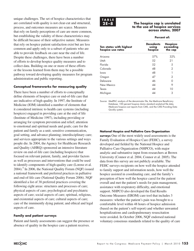unique challenges. The set of hospice characteristics that are correlated with quality is not clear-cut and structural, process, and outcomes measures are scarce. Measures that rely on family perceptions of care are more common, but establishing the validity of those characteristics may be difficult because of their subjective nature. Measures that rely on hospice patient satisfaction exist but are less common and apply only to a subset of patients who are able to provide feedback on care near the end of life. Despite these challenges, there have been a number of efforts to develop hospice quality measures and to collect data. Building on one or more of these efforts or the lessons learned from them may be a possible pathway toward developing quality measures for program administration and public reporting.

#### **Conceptual frameworks for measuring quality**

There have been a number of efforts to conceptually define elements of hospice care or end-of-life care that are indicative of high quality. In 1997, the Institute of Medicine (IOM) identified a number of elements that it considered intrinsic to health care systems (including hospices) engaged in providing care at the end of life (Institute of Medicine 1997), including providing or arranging for symptom prevention and relief; attention to emotional and spiritual needs and goals; care for the patient and family as a unit; sensitive communication, goal setting, and advance planning; interdisciplinary care; and services appropriate to the various settings and ways people die. In 2004, the Agency for Healthcare Research and Quality (AHRQ) sponsored an intensive literature review on end-of-life care (including hospices) that focused on relevant patient, family, and provider factors as well as processes and interventions that could be used to identify components of high-quality care (Lorenz et al. 2004).<sup>5</sup> In 2006, the National Quality Forum (NQF) issued a national framework and preferred practices in palliative and end-of-life care (National Quality Forum 2006). NQF identified a list of 38 preferred practices covering the following eight areas: structures and processes of care; physical aspects of care; psychological and psychiatric aspects of care; social aspects of care; spiritual, religious, and existential aspects of care; cultural aspects of care; care of the imminently dying patient; and ethical and legal aspects of care.

#### **Family and patient surveys**

Patient and family assessments can suggest the presence or absence of quality in the hospice care a patient receives.



**2E –8 The hospice cap is unrelated to the use of hospice services across states, 2007**

|                                              | Percent of:                          |                                         |  |  |  |
|----------------------------------------------|--------------------------------------|-----------------------------------------|--|--|--|
| Ten states with highest<br>hospice use rates | <b>Decedents</b><br>using<br>hospice | <b>Hospices</b><br>exceeding<br>the cap |  |  |  |
| Arizona                                      | 57%                                  | 32%                                     |  |  |  |
| Utah                                         | 52                                   | 21                                      |  |  |  |
| Florida                                      | .52                                  | .5                                      |  |  |  |
| Colorado                                     | 48                                   | 2                                       |  |  |  |
| lowa                                         | 48                                   |                                         |  |  |  |
| Oregon                                       | 47                                   | 2                                       |  |  |  |
| Delaware                                     | 46                                   |                                         |  |  |  |
| New Mexico                                   | 44                                   | 9                                       |  |  |  |
| Texas                                        | 44                                   | 10                                      |  |  |  |
| Michigan                                     | $\Delta\Lambda$                      | 3                                       |  |  |  |

Source: MedPAC analysis of the denominator file, the Medicare Beneficiary Database, 100 percent hospice claims standard analytical file data, Medicare hospice cost reports from CMS, and the CMS Providing Data Quickly system.

#### **National Hospice and Palliative Care Organization**

**surveys** One of the most widely used assessments is the Family Evaluation of Hospice Care (FEHC), a survey developed and fielded by the National Hospice and Palliative Care Organization (NHPCO), with major analytic and substantive input from researchers at Brown University (Connor et al. 2004, Connor et al. 2005). The data from this survey are not publicly available. The FEHC surveys recipients on how well the hospice attended to family support and information needs, how well the hospice assisted in coordinating care, and the family's perception of how well the hospice cared for the patient overall and met the patient's needs for pain management, assistance with respiratory difficulty, and emotional support. NHPCO also developed the End Results Outcome Measures (EROM) care tool that includes 3 measures: whether the patient's pain was brought to a comfortable level within 48 hours of hospice admission (based on the patient's self-report) and whether unwanted hospitalizations and cardiopulmonary resuscitation were avoided. In October 2006, NQF endorsed national voluntary consensus standards related to the quality of care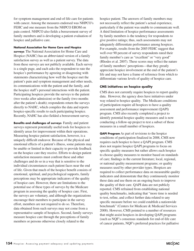for symptom management and end-of-life care for patients with cancer. Among the measures endorsed was NHPCO's FEHC and one measure from the NHPCO EROM on pain control. NHPCO also fields a bereavement survey of family members and is developing a patient evaluation of hospice and palliative care.

**National Association for Home Care and Hospice** 

**surveys** The National Association for Home Care and Hospice (NAHC) has an abbreviated version of a family satisfaction survey as well as a patient survey. The data from these surveys are not publicly available. Each survey is a single page, and each asks the respondent to rate the hospice's performance by agreeing or disagreeing with statements characterizing how well the hospice met the patient's pain and symptom management and other needs, its communications with the patient and the family, and the hospice staff's personal interactions with the patient. Participating hospices provide the surveys to the patient (two weeks after admission) or the family (two months after the patient's death); respondents return the surveys directly to NAHC, which compiles the data and reports hospice-specific results to each participating hospice. Recently, NAHC has also fielded a bereavement survey.

**Benefits and challenges of surveys**Family and patient surveys represent potentially useful tools for hospices to identify areas for improvement within their operations. Measuring hospice patient satisfaction, however, is a uniquely difficult endeavor. Because of the physical and emotional effects of a patient's illness, some patients may be unable or limited in their capacity to provide feedback on the hospice care they receive. Efforts to design patient satisfaction measures must confront these and other challenges and do so in a way that is sensitive to the individual circumstances each patient faces near the end of life. Given that much of the hospice benefit consists of emotional, spiritual, and psychological supports, family perceptions may be appropriate indicators of the quality of hospice care. However, there are limitations to the potential use of these types of surveys by the Medicare program in assessing the quality of hospice care. First, the surveys are voluntary, and although the organizations encourage their members to participate in the survey effort, members are not required to do so. Therefore, data obtained from such surveys may not come from a representative sample of hospices. Second, family surveys measure hospice care through the perceptions of family members or persons otherwise closely related to the

hospice patient. The answers of family members may not necessarily reflect the patient's actual experience, particularly if the patient was unable to communicate well. A third limitation of hospice performance assessments by family members is the tendency for respondents to give positive ratings; thus, such assessments may not adequately differentiate performance among hospices. For example, results from the 2005 FEHC suggest that well over 90 percent of survey respondents rated their family member's care as "excellent" or "very good" (Rhodes et al. 2007). These scores may reflect the nature of family members' perceptions—that they greatly appreciate hospice involvement at the end of the patient's life and may not have a frame of reference from which to differentiate various levels of quality of hospice care.

#### **CMS initiatives on hospice quality**

CMS does not currently require hospices to report quality data. However, the agency does have initiatives under way related to hospice quality. The Medicare conditions of participation require all hospices to have a quality assessment and performance improvement (QAPI) program. CMS also recently completed a project to identify potential hospice quality measures and is now conducting a follow-up project to test a subset of those measures in a small number of hospices.

**QAPI Program** As part of revisions to the hospice conditions of participation finalized in 2008, CMS now requires each hospice to have a QAPI program. CMS does not require hospice QAPI programs to focus on specific quality measures but rather allows each hospice to choose quality measures to monitor based on standards of care; findings in the current literature; local, regional, or national quality measurement programs; or quality measures used by other provider types. Hospices are required to collect performance data on measurable quality indicators and demonstrate that they continuously monitor these data and use them on an ongoing basis to improve the quality of their care. QAPI data are not publicly reported. CMS refrained from establishing national quality benchmarks, indicating that "more time is needed to test, refine, and collect further data related to any specific measure before we could establish a nationwide benchmark" (Centers for Medicare & Medicaid Services 2008). However, CMS pointed to a number of resources that might assist hospices in developing QAPI programs (such as NQF's consensus standards for end-of-life care of cancer patients, NQF's preferred practices for palliative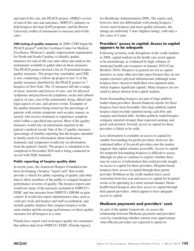and end-of-life care, the PEACE project, AHRQ's review of end-of-life care and outcomes, NHPCO's initiative to help hospices develop QAPI programs, and the Brown University toolkit of instruments to measure end-of-life care).

**CMS testing of quality measures** In 2006, CMS began the PEACE project<sup>6</sup> with the Carolinas Center for Medical Excellence, Medicare's quality improvement organization for North and South Carolina, to identify quality measures for end-of-life care and collect and analyze the instruments available to gather data on those measures. The PEACE project devised a list of 34 potential hospice quality measures. The project has concluded, and CMS is now conducting a follow-up project to test 12 of the quality measures identified by the PEACE project in 7 hospices in New York. The 12 measures fall into a range of areas: structure and process of care, care for physical symptoms and psychosocial symptoms, social and cultural aspects of care, care of the imminently dying, ethical and legal aspects of care, and adverse events. Examples of the quality measures being tested are the percentage of patients with certain symptoms such as pain, nausea, or anxiety who receive treatment or experience symptom relief within a specified time period. Most of the quality measures would rely on information reported in the patient's medical record. One of the 12 quality measures (percentage of families reporting that the hospice attended to family needs for information about medication, treatment, and symptoms) would rely on information from the patient's family. The project is scheduled to be completed in November 2010 and is being conducted in accord with NQF standards.

#### **Public reporting of hospice quality data**

In recent years, the American Hospice Foundation has been developing a hospice "report card" that would provide a vehicle for public reporting of quality and other data to allow members of the public to compare hospices' performance in terms of quality. The hospice report card would use many of the measures included in NHPCO's FEHC and one measure from NHPCO's EROM on pain control. It would also report administrative data, such as visits per week and hospice and staff accreditation, and include graphic displays that compare hospices in the same market and the average performance on these quality measures for all hospices in a state.

Florida has a report card on hospice quality for consumers that utilizes data from NHPCO's FEHC (Florida Agency

for Healthcare Administration 2009). The report card, however, does not differentiate well among hospices.<sup>7</sup> Across most hospices and most quality measures, the ratings are uniformly 5 stars (highest rating), with only a few cases of 4 stars.

#### **Providers' access to capital: Access to capital appears to be adequate**

Following economy wide disruptions in the credit markets in 2008, capital markets in the health care sector appear to be normalizing, as evidenced by high volumes of municipal health care issuances in January 2010 (Cain Brothers 2010). Hospices in general are not as capital intensive as some other provider types because they do not require extensive physical infrastructure (although some hospices have chosen to build their own inpatient units, which requires significant capital). Many hospices are too small to attract interest from capital markets.

Some freestanding hospices are part of large publicly traded chain providers. Recent financial reports for these hospices have been favorable. One large publicly traded hospice chain recently reported strong cash flow and margins and limited debt. Another publicly traded hospice company reported stronger than expected earnings and good cash position. Overall, access to capital for these providers is likely to be solid.

Less information is available on access to capital for smaller freestanding for-profit providers; however, the continued influx of for-profit providers into the market suggests that capital remains accessible. Access to capital for nonprofit freestanding hospices is difficult to assess, although we plan to continue to explore whether there may be sources of information that could provide insight on access to capital for these providers. Hospital-based hospices have access to capital through their parent provider. Problems in the credit markets have eased somewhat from last year and access to capital for hospitals seems to be operating in a more normal manner. Homehealth-based hospices also have access to capital through their parent providers, which appear to have adequate access to capital.

#### **Medicare payments and providers' costs**

As part of the update framework, we assess the relationship between Medicare payments and providers' costs by considering whether current costs approximate what efficient providers are expected to spend on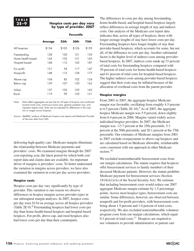#### **2E –9 Hospice costs per day vary by type of provider, 2007**

|                   |                | Percentile |       |       |
|-------------------|----------------|------------|-------|-------|
|                   | <b>Average</b> | 25th       | 50th  | 75th  |
| All hospices      | \$134          | \$103      | \$126 | \$159 |
| Freestanding      | 128            | 100        | 121   | 150   |
| Home health based | 143            | 105        | 131   | 165   |
| Hospital based    | 168            | 112        | 143   | 187   |
| For profit        | 121            | 94         | 117   | 147   |
| Nonprofit         | 148            | 11.5       | 138   | 173   |
| Above cap         | 104            | 85         | 102   | 124   |
| Below cap         | 139            | 107        | 130   | 163   |
| Urban             | 137            | 105        | 129   | 162   |
| Rural             | 119            | 99         | 120   | 151   |

Note: Data reflect aggregate cost per day for all types of hospice care combined (routine home care, continuous home care, general inpatient care, and inpatient respite care). Data are not adjusted for differences in the case mix or wages across hospices.

Source: MedPAC analysis of Medicare hospice cost reports and Medicare Provider of Services data from CMS.

delivering high-quality care. Medicare margins illuminate the relationship between Medicare payments and providers' costs. We examined margins through the 2007 cost-reporting year, the latest period for which both cost report data and claims data are available. An important driver of margins is providers' costs. To better understand the variation in margins across providers, we have also examined the variation in costs per day across providers.

#### **Hospice costs**

Hospice costs per day vary significantly by type of provider. This variation is one reason we observe differences in hospice margins across provider types in our subsequent margin analyses. In 2007, hospice costs per day were \$134 on average across all hospice providers (Table 2E-9).<sup>8</sup> Freestanding hospices had lower costs per day than home-health-based hospices and hospital-based hospices. For-profit, above-cap, and rural hospices also had lower costs per day than their counterparts.

The differences in costs per day among freestanding, home-health-based, and hospital-based hospices largely reflect differences in average length of stay and indirect costs. Our analysis of the Medicare cost report data indicates that, across all types of hospices, those with longer average lengths of stay have lower costs per day. Freestanding hospices have longer lengths of stay than provider-based hospices, which accounts for some, but not all, of the difference in costs per day. Another substantial factor is the higher level of indirect costs among providerbased hospices. In 2007, indirect costs made up 33 percent of total costs for freestanding hospices compared with 39 percent of total costs for home-health-based hospices and 41 percent of total costs for hospital-based hospices. The higher indirect costs among provider-based hospices suggest that their costs may be inflated because of the allocation of overhead costs from the parent provider.

#### **Hospice margins**

From 2001 to 2007, the aggregate hospice Medicare margin was favorable, oscillating from roughly 4.5 percent to 6.5 percent (Table  $2E-10$ ). As of 2007, the aggregate hospice Medicare margin was 5.9 percent, down slightly from 6.4 percent in 2006. Margins varied widely across individual hospice providers. In 2007, the Medicare margin was –13.7 percent at the 25th percentile, 5.3 percent at the 50th percentile, and 20.1 percent at the 75th percentile. Our estimates of Medicare margins from 2001 to 2007 exclude overpayments to above-cap hospices and are calculated based on Medicare allowable, reimbursable costs consistent with our approach in other Medicare sectors.<sup>10</sup>

We excluded nonreimbursable bereavement costs from our margin calculations. The statute requires that hospices offer bereavement services to family members of their deceased Medicare patients. However, the statute prohibits Medicare payment for bereavement services (Section  $1814(i)(1)(A)$  of the Social Security Act). We estimate that including bereavement costs would reduce our 2007 aggregate Medicare margin estimate by 1.5 percentage points. Across most hospice types, bereavement costs are similar. Some differences, however, are observed between nonprofit and for-profit providers, with bereavement costs being about 1.9 percent and 1.0 percent of total costs, respectively. We also excluded nonreimbursable volunteer program costs from our margin calculations, which equal 0.3 percent of total costs.<sup>11</sup> Hospices are required to use volunteers to provide administrative or patient care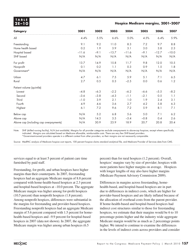**T A B L E**

#### **2E –10 Hospice Medicare margins, 2001–2007**

| <b>Category</b>                        | 2001    | 2002   | 2003    | 2004    | 2005   | 2006    | 2007    |
|----------------------------------------|---------|--------|---------|---------|--------|---------|---------|
| All                                    | 4.4%    | 5.5%   | 6.6%    | 5.0%    | 4.5%   | 6.4%    | 5.9%    |
| Freestanding                           | 9.1     | 9.2    | 11.0    | 8.3     | 7.2    | 9.7     | 8.8     |
| Home health based                      | 0.2     | 1.9    | 3.9     | 3.1     | 3.0    | 3.8     | 2.3     |
| Hospital based                         | $-11.6$ | $-9.1$ | $-13.7$ | $-11.6$ | $-9.1$ | $-12.7$ | $-10.0$ |
| SNF based                              | N/A     | N/A    | N/A     | N/A     | N/A    | N/A     | N/A     |
| For profit                             | 13.7    | 14.9   | 15.8    | 11.7    | 9.8    | 12.0    | 10.5    |
| Nonprofit                              | 0.1     | 0.2    | 1.1     | 0.3     | 0.9    | 1.5     | 1.8     |
| Government*                            | N/A     | N/A    | N/A     | N/A     | N/A    | N/A     | N/A     |
| Urban                                  | 4.7     | 6.1    | 7.5     | 5.9     | 5.1    | 7.1     | 6.5     |
| Rural                                  | 2.7     | 0.5    | 0.3     | $-2.5$  | 0.0    | 0.6     | 1.2     |
| Patient volume (quintile)              |         |        |         |         |        |         |         |
| Lowest                                 | $-4.8$  | $-6.3$ | $-2.2$  | $-6.2$  | $-6.6$ | $-5.5$  | $-8.2$  |
| Second                                 | $-3.6$  | $-3.8$ | $-4.3$  | $-1.1$  | $-2.1$ | 0.5     | 1.1     |
| Third                                  | $-1.0$  | 3.9    | 2.1     | 1.0     | 1.9    | 2.4     | 3.1     |
| Fourth                                 | 4.9     | 4.6    | 3.6     | 2.7     | 4.2    | 5.8     | 6.3     |
| Highest                                | 6.1     | 7.2    | 9.6     | 7.2     | 5.9    | 8.1     | 7.1     |
| Below cap                              | N/A     | 5.2    | 6.8     | 5.6     | 5.0    | 7.1     | 6.2     |
| Above cap                              | N/A     | 14.3   | 3.5     | $-3.4$  | $-0.8$ | 0.4     | 2.6     |
| Above cap (including cap overpayments) | N/A     | 30.9   | 23.9    | 18.9    | 20.7   | 20.8    | 20.4    |

Note: SNF (skilled nursing facility), N/A (not available). Margins for all provider categories exclude overpayments to above-cap hospices, except where specifically indicated. Margins are calculated based on Medicare allowable, reimbursable costs. There are very few SNF-based providers. \*Government-owned providers operate in a different context from other providers, so their margins are not necessarily comparable.

Source: MedPAC analysis of Medicare hospice cost reports, 100 percent hospice claims standard analytical file, and Medicare Provider of Services data from CMS.

services equal to at least 5 percent of patient care time furnished by paid staff.

Freestanding, for-profit, and urban hospices have higher margins than their counterparts. In 2007, freestanding hospices had an aggregate Medicare margin of 8.8 percent compared with home-health-based hospices at 2.3 percent and hospital-based hospices at –10.0 percent. The aggregate Medicare margin was higher among for-profit hospices (10.5 percent) than nonprofit hospices (1.8 percent). Among nonprofit hospices, differences were substantial in the margins for freestanding and provider-based hospices. Freestanding nonprofit hospices had an aggregate Medicare margin of 5.6 percent compared with 1.5 percent for homehealth-based hospices and –9.9 percent for hospital-based hospices in 2007 (data not shown). In 2007, the aggregate Medicare margin was higher among urban hospices (6.5

percent) than for rural hospices (1.2 percent). Overall, hospices' margins vary by size of provider; hospices with more patients have higher margins on average. Hospices with longer lengths of stay also have higher margins (Medicare Payment Advisory Commission 2009).

Differences in margins across freestanding, homehealth-based, and hospital-based hospices are in part due to differences in indirect costs, which are higher for provider-based hospices and are likely inflated because of the allocation of overhead costs from the parent provider. If home-health-based and hospital-based hospices had indirect cost structures similar to those for freestanding hospices, we estimate that their margins would be 6 to 10 percentage points higher and the industry wide aggregate Medicare margin would be as much as 2 percentage points higher. We intend to continue to examine the differences in the levels of indirect costs across providers and consider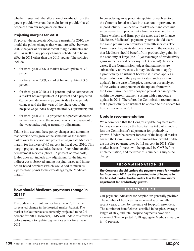whether issues with the allocation of overhead from the parent provider warrant the exclusion of provider-based hospices from our margin calculations.

#### **Projecting margins for 2010**

To project the aggregate Medicare margin for 2010, we model the policy changes that went into effect between 2007 (the year of our most recent margin estimate) and 2010 as well as any policy changes scheduled to be in effect in 2011 other than the 2011 update. The policies include:

- for fiscal year 2008, a market basket update of 3.3 percent;
- for fiscal year 2009, a market basket update of 3.6 percent;
- for fiscal year 2010, a 1.4 percent update composed of a market basket update of 2.1 percent and a projected 0.7 percent decrease in payments due to wage index changes and the first year of the phase-out of the hospice wage index budget-neutrality adjustment; and
- for fiscal year 2011, a projected 0.6 percent decrease in payments due to the second year of the phase-out of the wage index budget-neutrality adjustment.

Taking into account these policy changes and assuming that hospice costs grow at the same rate as the market basket over this period, we project an aggregate Medicare margin for hospices of 4.6 percent in fiscal year 2010. This margin projection excludes the cost of nonreimbursable bereavement services (about 1.5 percent of total costs). It also does not include any adjustment for the higher indirect costs observed among hospital-based and homehealth-based hospices (which would add as much as 2 percentage points to the overall aggregate Medicare margin).

# **How should Medicare payments change in 2011?**

The update in current law for fiscal year 2011 is the forecasted change in the hospital market basket. The market basket increase is currently projected to be 2.4 percent for 2011. However, CMS will update this forecast before using it to update payment rates for fiscal year 2011.

In considering an appropriate update for each sector, the Commission also takes into account improvements in productivity. Competitive markets demand continual improvements in productivity from workers and firms. These workers and firms pay the taxes used to finance Medicare. Medicare's payment systems should exert the same pressure on providers of health services. The Commission begins its deliberations with the expectation that Medicare should benefit from productivity gains in the economy at large (the 10-year average of productivity gains in the general economy is 1.3 percent). In some cases, if the Commission judges that payments are substantially above costs, it may decide not to apply a productivity adjustment because it instead applies a larger reduction to the payment rates (such as a zero update). In the case of hospice, based on our analyses of the various components of the update framework, the Commission believes hospice providers can operate within the current payment system with a moderate update in 2011. Therefore, the Commission recommends that a productivity adjustment be applied to the update for hospice services in 2011.

#### **Update recommendation**

We recommend that the Congress update payment rates for hospice services by the hospital market basket index, less the Commission's adjustment for productivity growth. Under the current forecast of the hospital market basket, the Commission's recommendation would update the hospice payment rates by 1.1 percent in 2011. (The market basket forecast will be updated by CMS before implementation, and therefore this number is subject to change.)

#### **R E C O M M E N D A T I O N 2 E**

**The Congress should update the payment rates for hospice for fiscal year 2011 by the projected rate of increase in the hospital market basket index less the Commission's adjustment for productivity growth.**

#### **R A T I O N A L E 2 E**

Our payment indicators for hospice are generally positive. The number of hospices has increased substantially in recent years, driven by the entry of for-profit providers. The number of beneficiaries enrolled in hospice, average length of stay, and total hospice payments have also increased. The projected 2010 aggregate Medicare margin is 4.6 percent.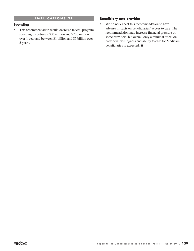#### **I M P L I C A T I O N S 2 E**

#### **Spending**

• This recommendation would decrease federal program spending by between \$50 million and \$250 million over 1 year and between \$1 billion and \$5 billion over 5 years.

#### **Beneficiary and provider**

• We do not expect this recommendation to have adverse impacts on beneficiaries' access to care. The recommendation may increase financial pressure on some providers, but overall only a minimal effect on providers' willingness and ability to care for Medicare beneficiaries is expected. ■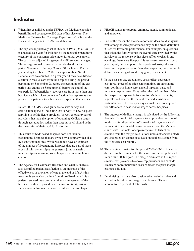# **Endnotes**

- 1 When first established under TEFRA, the Medicare hospice benefit limited coverage to 210 days of hospice care. The Medicare Catastrophic Coverage Repeal Act of 1989 and the Balanced Budget Act of 1997 eased this limit.
- 2 The cap was legislatively set at \$6,500 in 1983 (Dole 1983). It is updated each year for inflation by the medical expenditure category of the consumer price index for urban consumers. The cap is not adjusted for geographic differences in wages. The average annual payment cap is calculated for the period November 1 through October 31 each year. For the year ending October 31, 2007, the cap was about \$21,410. Beneficiaries are counted in a given year if they have filed an election to receive care from the hospice during the period beginning on September 28 before the beginning of the cap period and ending on September 27 before the end of the cap period. If a beneficiary receives care from more than one hospice, each hospice counts the fraction that represents the portion of a patient's total hospice stay spent in that hospice.
- 3 In late 2007, CMS issued guidance to state survey and certification agencies indicating that surveys of new hospices applying to be Medicare providers (as well as other types of providers that have the option of obtaining Medicare status through accreditation rather than state surveys) should be in the lowest tier of their workload priorities.
- 4 This count of SNF-based hospices does not include freestanding hospices that are owned by a company that also owns nursing facilities. While we do not have an estimate of the number of freestanding hospices that are part of these types of joint ownership arrangements, joint ownership relationships exist among some hospice and nursing home chains.
- 5 The Agency for Healthcare Research and Quality analysis also identified patient satisfaction as an indicator of the effectiveness of provision of care at the end of life. As this measure is somewhat distinct from those listed here (it is a patient-centered measure rather than an assessment of the hospice's ability to provide a given intervention), patient satisfaction is discussed in more detail later in this chapter.
- 6 PEACE stands for prepare, embrace, attend, communicate, and empower.
- 7 Part of the reason the Florida report card does not distinguish well among hospice performance may be the broad definition it uses for favorable performance. For example, on questions that asked the family to rate the overall care provided by the hospice or the response by hospice staff on weekends and evenings, there were five possible responses: excellent, very good, good, fair, and poor. The report card assigned stars based on the percentage of favorable responses, with favorable defined as a rating of good, very good, or excellent.
- 8 In the cost-per-day calculation, costs reflect aggregate cost for all types of hospice care combined (routine home care, continuous home care, general inpatient care, and inpatient respite care). Days reflect the total number of days the hospice is responsible for care for Medicare patients, regardless of whether the patient received a visit on a particular day. The costs per day estimates are not adjusted for differences in case mix or wages across hospices.
- 9 The aggregate Medicare margin is calculated by the following formula: ((sum of total payments to all providers) – (sum of total costs for all providers))/(sum of total payments to all providers). Data on total payments come from the Medicare claims data. Estimates of cap overpayments (which we exclude from the margin calculations unless otherwise noted) are also based on claims data. Data on total costs come from the Medicare cost reports.
- 10 The margin estimates for the period 2001–2005 in this report differ from the estimates for the same time period published in our June 2008 report. The margin estimates in this report exclude overpayments to above-cap providers and exclude Medicare nonreimbursable costs, whereas the prior margin estimates did not.
- 11 Fundraising costs are also considered nonreimbursable and are not included in our margin calculations. These costs amount to 1.5 percent of total costs.